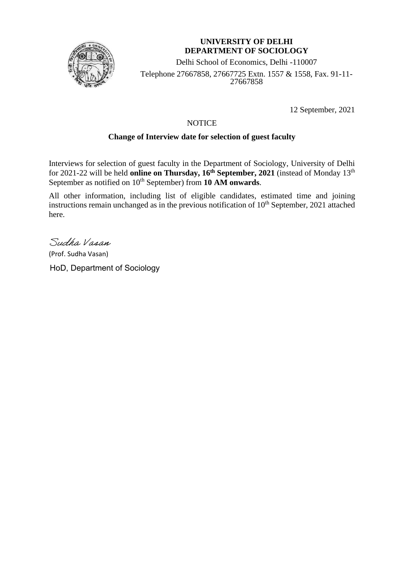

### **UNIVERSITY OF DELHI DEPARTMENT OF SOCIOLOGY**

Delhi School of Economics, Delhi -110007 Telephone 27667858, 27667725 Extn. 1557 & 1558, Fax. 91-11- 27667858

12 September, 2021

## **NOTICE**

## **Change of Interview date for selection of guest faculty**

Interviews for selection of guest faculty in the Department of Sociology, University of Delhi for 2021-22 will be held **online on Thursday, 16th September, 2021** (instead of Monday 13th September as notified on 10<sup>th</sup> September) from 10 AM onwards.

All other information, including list of eligible candidates, estimated time and joining instructions remain unchanged as in the previous notification of  $10<sup>th</sup>$  September, 2021 attached here.

Sudha Vasan

(Prof. Sudha Vasan)

HoD, Department of Sociology